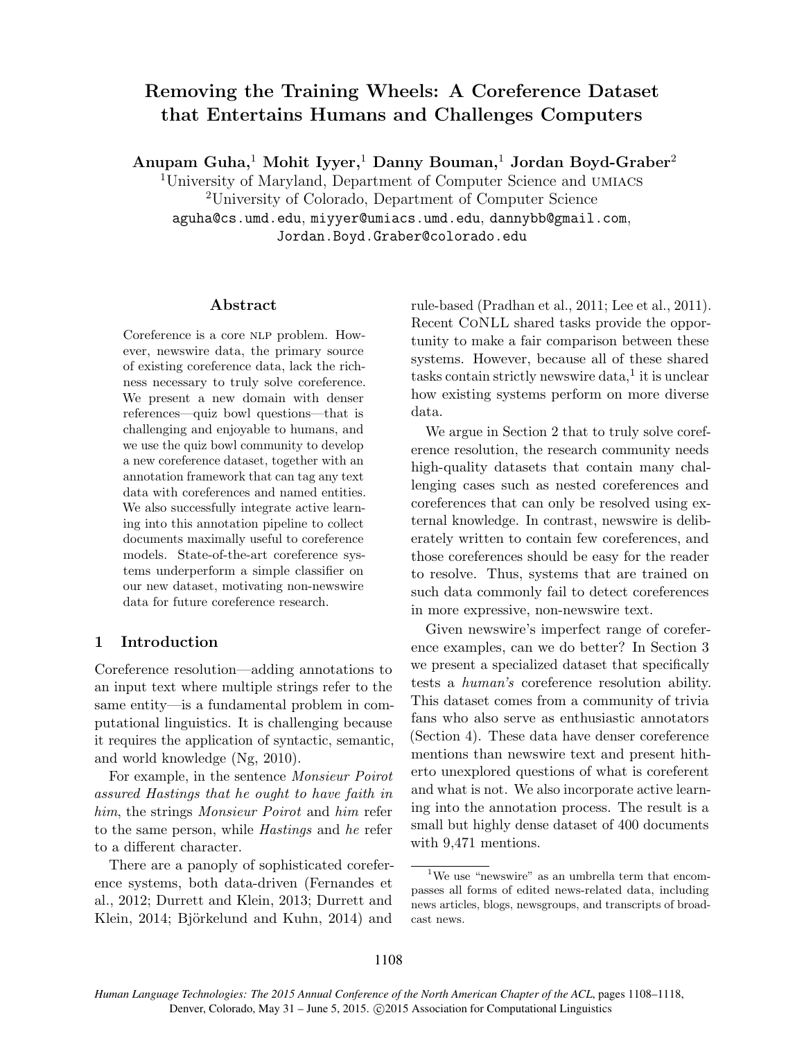# Removing the Training Wheels: A Coreference Dataset that Entertains Humans and Challenges Computers

Anupam Guha,<sup>1</sup> Mohit Iyyer,<sup>1</sup> Danny Bouman,<sup>1</sup> Jordan Boyd-Graber<sup>2</sup>

<sup>1</sup>University of Maryland, Department of Computer Science and umiacs <sup>2</sup>University of Colorado, Department of Computer Science aguha@cs.umd.edu, miyyer@umiacs.umd.edu, dannybb@gmail.com, Jordan.Boyd.Graber@colorado.edu

#### Abstract

Coreference is a core NLP problem. However, newswire data, the primary source of existing coreference data, lack the richness necessary to truly solve coreference. We present a new domain with denser references—quiz bowl questions—that is challenging and enjoyable to humans, and we use the quiz bowl community to develop a new coreference dataset, together with an annotation framework that can tag any text data with coreferences and named entities. We also successfully integrate active learning into this annotation pipeline to collect documents maximally useful to coreference models. State-of-the-art coreference systems underperform a simple classifier on our new dataset, motivating non-newswire data for future coreference research.

## 1 Introduction

Coreference resolution—adding annotations to an input text where multiple strings refer to the same entity—is a fundamental problem in computational linguistics. It is challenging because it requires the application of syntactic, semantic, and world knowledge (Ng, 2010).

For example, in the sentence Monsieur Poirot assured Hastings that he ought to have faith in him, the strings Monsieur Poirot and him refer to the same person, while Hastings and he refer to a different character.

There are a panoply of sophisticated coreference systems, both data-driven (Fernandes et al., 2012; Durrett and Klein, 2013; Durrett and Klein, 2014; Björkelund and Kuhn, 2014) and

rule-based (Pradhan et al., 2011; Lee et al., 2011). Recent CoNLL shared tasks provide the opportunity to make a fair comparison between these systems. However, because all of these shared  $t$ asks contain strictly newswire data,<sup>1</sup> it is unclear how existing systems perform on more diverse data.

We argue in Section 2 that to truly solve coreference resolution, the research community needs high-quality datasets that contain many challenging cases such as nested coreferences and coreferences that can only be resolved using external knowledge. In contrast, newswire is deliberately written to contain few coreferences, and those coreferences should be easy for the reader to resolve. Thus, systems that are trained on such data commonly fail to detect coreferences in more expressive, non-newswire text.

Given newswire's imperfect range of coreference examples, can we do better? In Section 3 we present a specialized dataset that specifically tests a human's coreference resolution ability. This dataset comes from a community of trivia fans who also serve as enthusiastic annotators (Section 4). These data have denser coreference mentions than newswire text and present hitherto unexplored questions of what is coreferent and what is not. We also incorporate active learning into the annotation process. The result is a small but highly dense dataset of 400 documents with 9,471 mentions.

<sup>&</sup>lt;sup>1</sup>We use "newswire" as an umbrella term that encompasses all forms of edited news-related data, including news articles, blogs, newsgroups, and transcripts of broadcast news.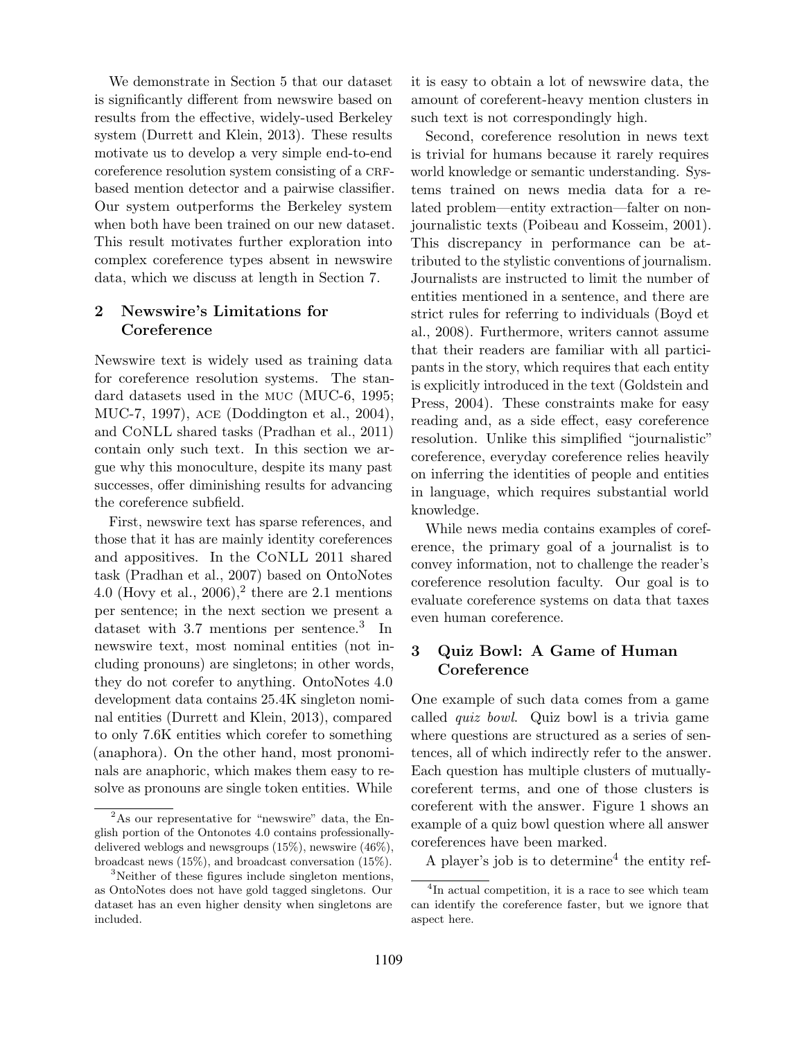We demonstrate in Section 5 that our dataset is significantly different from newswire based on results from the effective, widely-used Berkeley system (Durrett and Klein, 2013). These results motivate us to develop a very simple end-to-end coreference resolution system consisting of a CRFbased mention detector and a pairwise classifier. Our system outperforms the Berkeley system when both have been trained on our new dataset. This result motivates further exploration into complex coreference types absent in newswire data, which we discuss at length in Section 7.

### 2 Newswire's Limitations for **Coreference**

Newswire text is widely used as training data for coreference resolution systems. The standard datasets used in the muc (MUC-6, 1995; MUC-7, 1997), ace (Doddington et al., 2004), and CoNLL shared tasks (Pradhan et al., 2011) contain only such text. In this section we argue why this monoculture, despite its many past successes, offer diminishing results for advancing the coreference subfield.

First, newswire text has sparse references, and those that it has are mainly identity coreferences and appositives. In the CoNLL 2011 shared task (Pradhan et al., 2007) based on OntoNotes 4.0 (Hovy et al., 2006),<sup>2</sup> there are 2.1 mentions per sentence; in the next section we present a dataset with 3.7 mentions per sentence.<sup>3</sup> In newswire text, most nominal entities (not including pronouns) are singletons; in other words, they do not corefer to anything. OntoNotes 4.0 development data contains 25.4K singleton nominal entities (Durrett and Klein, 2013), compared to only 7.6K entities which corefer to something (anaphora). On the other hand, most pronominals are anaphoric, which makes them easy to resolve as pronouns are single token entities. While

it is easy to obtain a lot of newswire data, the amount of coreferent-heavy mention clusters in such text is not correspondingly high.

Second, coreference resolution in news text is trivial for humans because it rarely requires world knowledge or semantic understanding. Systems trained on news media data for a related problem—entity extraction—falter on nonjournalistic texts (Poibeau and Kosseim, 2001). This discrepancy in performance can be attributed to the stylistic conventions of journalism. Journalists are instructed to limit the number of entities mentioned in a sentence, and there are strict rules for referring to individuals (Boyd et al., 2008). Furthermore, writers cannot assume that their readers are familiar with all participants in the story, which requires that each entity is explicitly introduced in the text (Goldstein and Press, 2004). These constraints make for easy reading and, as a side effect, easy coreference resolution. Unlike this simplified "journalistic" coreference, everyday coreference relies heavily on inferring the identities of people and entities in language, which requires substantial world knowledge.

While news media contains examples of coreference, the primary goal of a journalist is to convey information, not to challenge the reader's coreference resolution faculty. Our goal is to evaluate coreference systems on data that taxes even human coreference.

# 3 Quiz Bowl: A Game of Human **Coreference**

One example of such data comes from a game called quiz bowl. Quiz bowl is a trivia game where questions are structured as a series of sentences, all of which indirectly refer to the answer. Each question has multiple clusters of mutuallycoreferent terms, and one of those clusters is coreferent with the answer. Figure 1 shows an example of a quiz bowl question where all answer coreferences have been marked.

A player's job is to determine<sup>4</sup> the entity ref-

<sup>2</sup>As our representative for "newswire" data, the English portion of the Ontonotes 4.0 contains professionallydelivered weblogs and newsgroups (15%), newswire (46%), broadcast news (15%), and broadcast conversation (15%).

<sup>&</sup>lt;sup>3</sup>Neither of these figures include singleton mentions, as OntoNotes does not have gold tagged singletons. Our dataset has an even higher density when singletons are included.

<sup>4</sup> In actual competition, it is a race to see which team can identify the coreference faster, but we ignore that aspect here.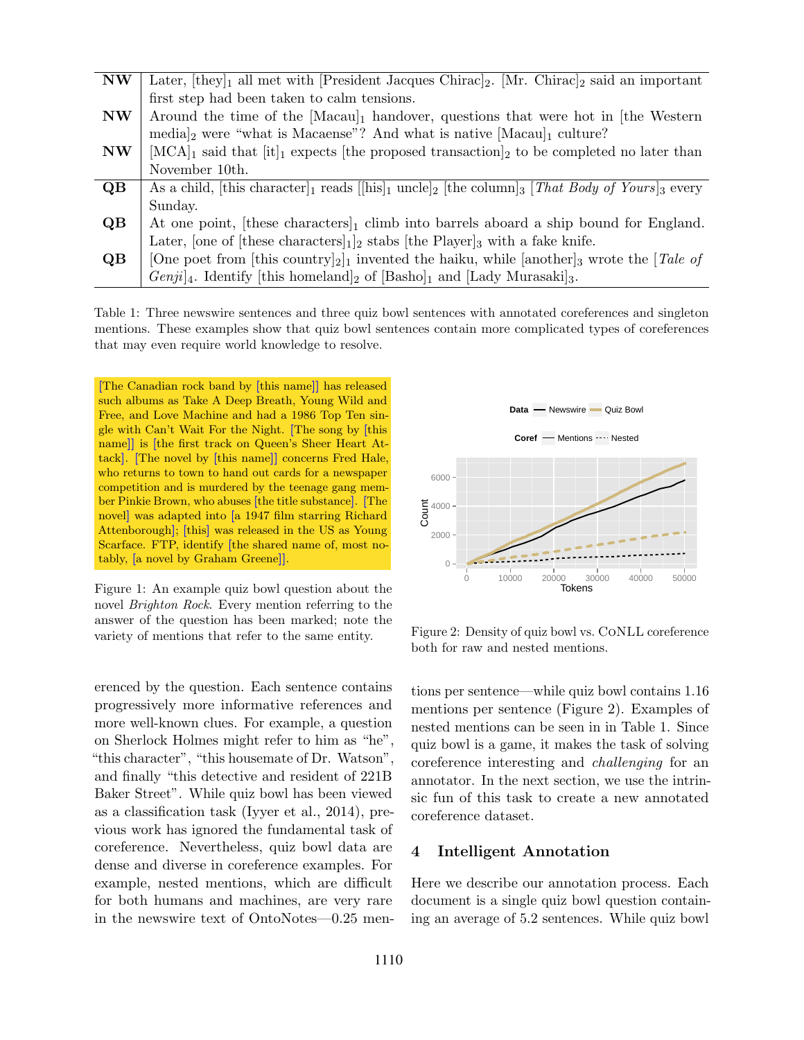| <b>NW</b>      | Later, $[they]_1$ all met with [President Jacques Chirac] <sub>2</sub> . [Mr. Chirac] <sub>2</sub> said an important                                               |
|----------------|--------------------------------------------------------------------------------------------------------------------------------------------------------------------|
|                | first step had been taken to calm tensions.                                                                                                                        |
| <b>NW</b>      | Around the time of the $[Macaul]$ handover, questions that were hot in [the Western                                                                                |
|                | $\text{median}_2$ were "what is Macaense"? And what is native $[\text{Macaul}]$ culture?                                                                           |
| <b>NW</b>      | $[MCA]_1$ said that $[it]_1$ expects [the proposed transaction] <sub>2</sub> to be completed no later than                                                         |
|                | November 10th.                                                                                                                                                     |
| QB             | As a child, [this character] <sub>1</sub> reads [[his] <sub>1</sub> uncle] <sub>2</sub> [the column] <sub>3</sub> [ <i>That Body of Yours</i> ] <sub>3</sub> every |
|                | Sunday.                                                                                                                                                            |
| Q <sub>B</sub> | At one point, [these characters] <sub>1</sub> climb into barrels aboard a ship bound for England.                                                                  |
|                | Later, [one of [these characters] $_1$ ] <sub>2</sub> stabs [the Player] <sub>3</sub> with a fake knife.                                                           |
| QB             | [One poet from [this country] <sub>2</sub> ] <sub>1</sub> invented the haiku, while [another] <sub>3</sub> wrote the [ <i>Tale of</i> ]                            |
|                | $Genji4$ . Identify [this homeland] <sub>2</sub> of [Basho] <sub>1</sub> and [Lady Murasaki] <sub>3</sub> .                                                        |

Table 1: Three newswire sentences and three quiz bowl sentences with annotated coreferences and singleton mentions. These examples show that quiz bowl sentences contain more complicated types of coreferences that may even require world knowledge to resolve.

[The Canadian rock band by [this name]] has released such albums as Take A Deep Breath, Young Wild and Free, and Love Machine and had a 1986 Top Ten single with Can't Wait For the Night. [The song by [this name]] is [the first track on Queen's Sheer Heart Attack]. [The novel by [this name]] concerns Fred Hale, who returns to town to hand out cards for a newspaper competition and is murdered by the teenage gang member Pinkie Brown, who abuses [the title substance]. [The novel] was adapted into [a 1947 film starring Richard Attenborough]; [this] was released in the US as Young Scarface. FTP, identify [the shared name of, most notably, [a novel by Graham Greene]].

Figure 1: An example quiz bowl question about the novel Brighton Rock. Every mention referring to the answer of the question has been marked; note the variety of mentions that refer to the same entity.

erenced by the question. Each sentence contains progressively more informative references and more well-known clues. For example, a question on Sherlock Holmes might refer to him as "he", "this character", "this housemate of Dr. Watson", and finally "this detective and resident of 221B Baker Street". While quiz bowl has been viewed as a classification task (Iyyer et al., 2014), previous work has ignored the fundamental task of coreference. Nevertheless, quiz bowl data are dense and diverse in coreference examples. For example, nested mentions, which are difficult for both humans and machines, are very rare in the newswire text of OntoNotes—0.25 men-



Figure 2: Density of quiz bowl vs. CoNLL coreference both for raw and nested mentions.

tions per sentence—while quiz bowl contains 1.16 mentions per sentence (Figure 2). Examples of nested mentions can be seen in in Table 1. Since quiz bowl is a game, it makes the task of solving coreference interesting and challenging for an annotator. In the next section, we use the intrinsic fun of this task to create a new annotated coreference dataset.

#### 4 Intelligent Annotation

Here we describe our annotation process. Each document is a single quiz bowl question containing an average of 5.2 sentences. While quiz bowl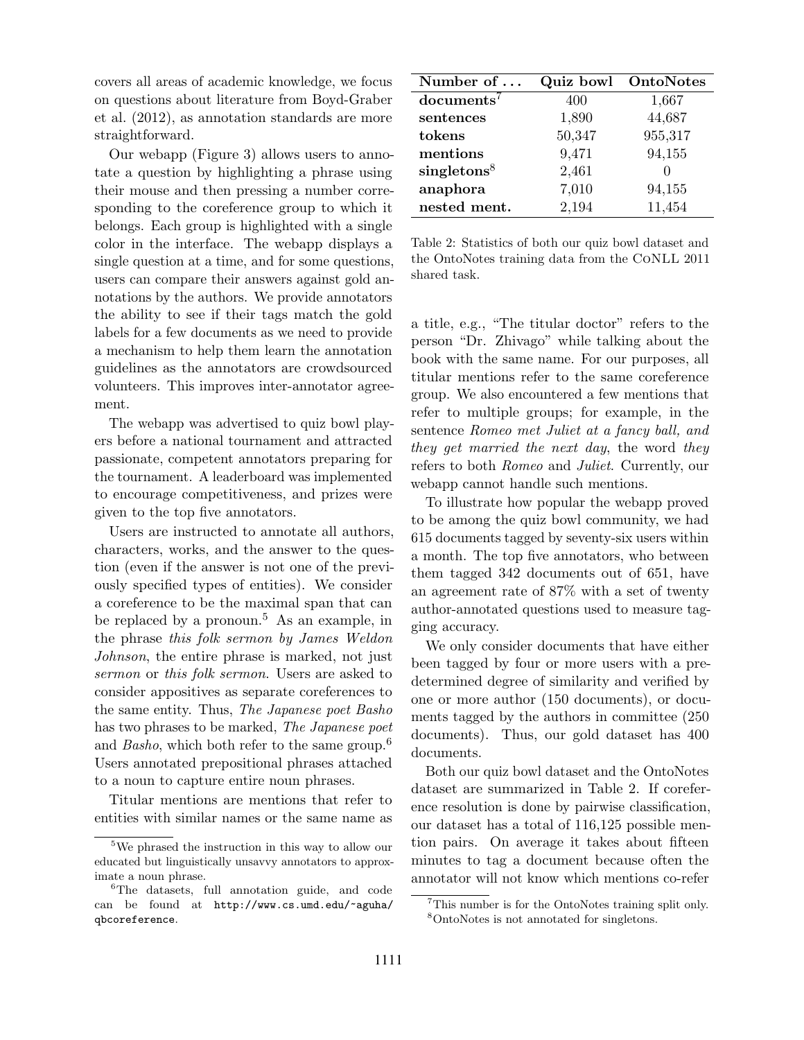covers all areas of academic knowledge, we focus on questions about literature from Boyd-Graber et al. (2012), as annotation standards are more straightforward.

Our webapp (Figure 3) allows users to annotate a question by highlighting a phrase using their mouse and then pressing a number corresponding to the coreference group to which it belongs. Each group is highlighted with a single color in the interface. The webapp displays a single question at a time, and for some questions, users can compare their answers against gold annotations by the authors. We provide annotators the ability to see if their tags match the gold labels for a few documents as we need to provide a mechanism to help them learn the annotation guidelines as the annotators are crowdsourced volunteers. This improves inter-annotator agreement.

The webapp was advertised to quiz bowl players before a national tournament and attracted passionate, competent annotators preparing for the tournament. A leaderboard was implemented to encourage competitiveness, and prizes were given to the top five annotators.

Users are instructed to annotate all authors, characters, works, and the answer to the question (even if the answer is not one of the previously specified types of entities). We consider a coreference to be the maximal span that can be replaced by a pronoun.<sup>5</sup> As an example, in the phrase this folk sermon by James Weldon Johnson, the entire phrase is marked, not just sermon or this folk sermon. Users are asked to consider appositives as separate coreferences to the same entity. Thus, The Japanese poet Basho has two phrases to be marked, The Japanese poet and *Basho*, which both refer to the same group.<sup>6</sup> Users annotated prepositional phrases attached to a noun to capture entire noun phrases.

Titular mentions are mentions that refer to entities with similar names or the same name as

| Number of $\dots$       | Quiz bowl | OntoNotes |
|-------------------------|-----------|-----------|
| $documents^7$           | 400       | 1,667     |
| sentences               | 1,890     | 44,687    |
| tokens                  | 50,347    | 955,317   |
| mentions                | 9,471     | 94,155    |
| singletons <sup>8</sup> | 2,461     |           |
| anaphora                | 7,010     | 94,155    |
| nested ment.            | 2,194     | 11,454    |

Table 2: Statistics of both our quiz bowl dataset and the OntoNotes training data from the CoNLL 2011 shared task.

a title, e.g., "The titular doctor" refers to the person "Dr. Zhivago" while talking about the book with the same name. For our purposes, all titular mentions refer to the same coreference group. We also encountered a few mentions that refer to multiple groups; for example, in the sentence Romeo met Juliet at a fancy ball, and they get married the next day, the word they refers to both Romeo and Juliet. Currently, our webapp cannot handle such mentions.

To illustrate how popular the webapp proved to be among the quiz bowl community, we had 615 documents tagged by seventy-six users within a month. The top five annotators, who between them tagged 342 documents out of 651, have an agreement rate of 87% with a set of twenty author-annotated questions used to measure tagging accuracy.

We only consider documents that have either been tagged by four or more users with a predetermined degree of similarity and verified by one or more author (150 documents), or documents tagged by the authors in committee (250 documents). Thus, our gold dataset has 400 documents.

Both our quiz bowl dataset and the OntoNotes dataset are summarized in Table 2. If coreference resolution is done by pairwise classification, our dataset has a total of 116,125 possible mention pairs. On average it takes about fifteen minutes to tag a document because often the annotator will not know which mentions co-refer

<sup>&</sup>lt;sup>5</sup>We phrased the instruction in this way to allow our educated but linguistically unsavvy annotators to approximate a noun phrase.

<sup>&</sup>lt;sup>6</sup>The datasets, full annotation guide, and code can be found at http://www.cs.umd.edu/~aguha/ qbcoreference.

<sup>7</sup>This number is for the OntoNotes training split only. <sup>8</sup>OntoNotes is not annotated for singletons.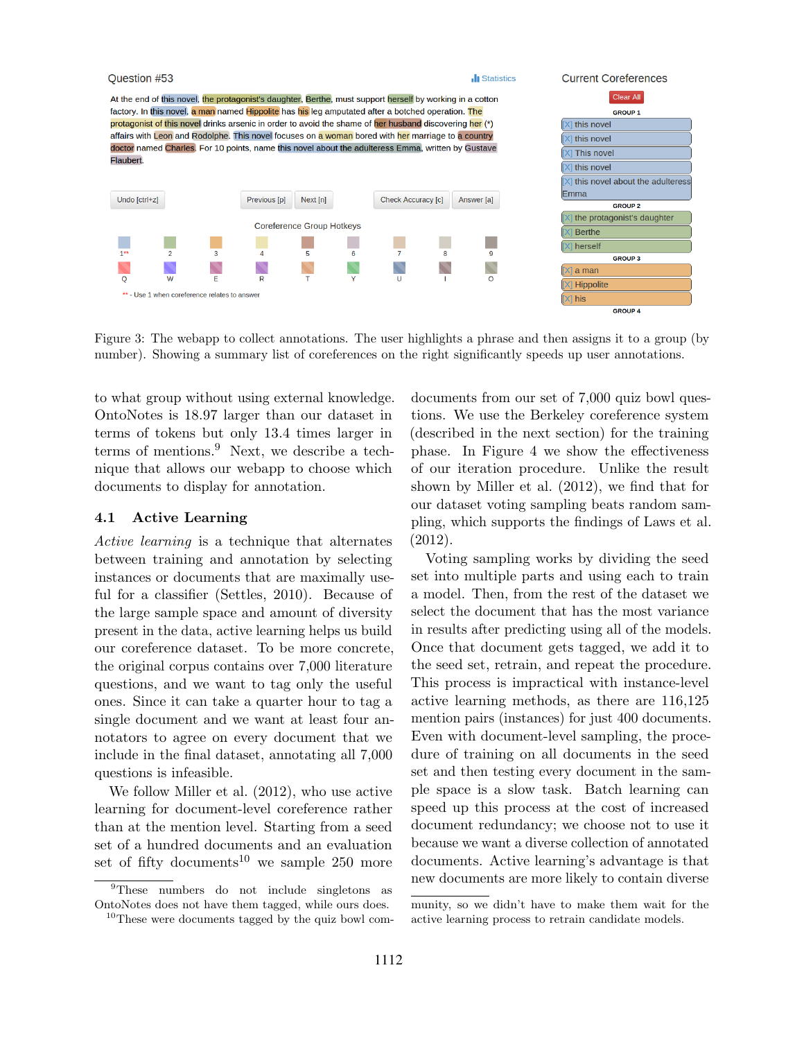

Figure 3: The webapp to collect annotations. The user highlights a phrase and then assigns it to a group (by number). Showing a summary list of coreferences on the right significantly speeds up user annotations.

to what group without using external knowledge. OntoNotes is 18.97 larger than our dataset in terms of tokens but only 13.4 times larger in terms of mentions.<sup>9</sup> Next, we describe a technique that allows our webapp to choose which documents to display for annotation.

#### 4.1 Active Learning

Active learning is a technique that alternates between training and annotation by selecting instances or documents that are maximally useful for a classifier (Settles, 2010). Because of the large sample space and amount of diversity present in the data, active learning helps us build our coreference dataset. To be more concrete, the original corpus contains over 7,000 literature questions, and we want to tag only the useful ones. Since it can take a quarter hour to tag a single document and we want at least four annotators to agree on every document that we include in the final dataset, annotating all 7,000 questions is infeasible.

We follow Miller et al. (2012), who use active learning for document-level coreference rather than at the mention level. Starting from a seed set of a hundred documents and an evaluation set of fifty documents<sup>10</sup> we sample 250 more

<sup>9</sup>These numbers do not include singletons as OntoNotes does not have them tagged, while ours does.  $10<sup>10</sup>$ These were documents tagged by the quiz bowl comdocuments from our set of 7,000 quiz bowl questions. We use the Berkeley coreference system (described in the next section) for the training phase. In Figure 4 we show the effectiveness of our iteration procedure. Unlike the result shown by Miller et al. (2012), we find that for our dataset voting sampling beats random sampling, which supports the findings of Laws et al. (2012).

Voting sampling works by dividing the seed set into multiple parts and using each to train a model. Then, from the rest of the dataset we select the document that has the most variance in results after predicting using all of the models. Once that document gets tagged, we add it to the seed set, retrain, and repeat the procedure. This process is impractical with instance-level active learning methods, as there are 116,125 mention pairs (instances) for just 400 documents. Even with document-level sampling, the procedure of training on all documents in the seed set and then testing every document in the sample space is a slow task. Batch learning can speed up this process at the cost of increased document redundancy; we choose not to use it because we want a diverse collection of annotated documents. Active learning's advantage is that new documents are more likely to contain diverse

munity, so we didn't have to make them wait for the active learning process to retrain candidate models.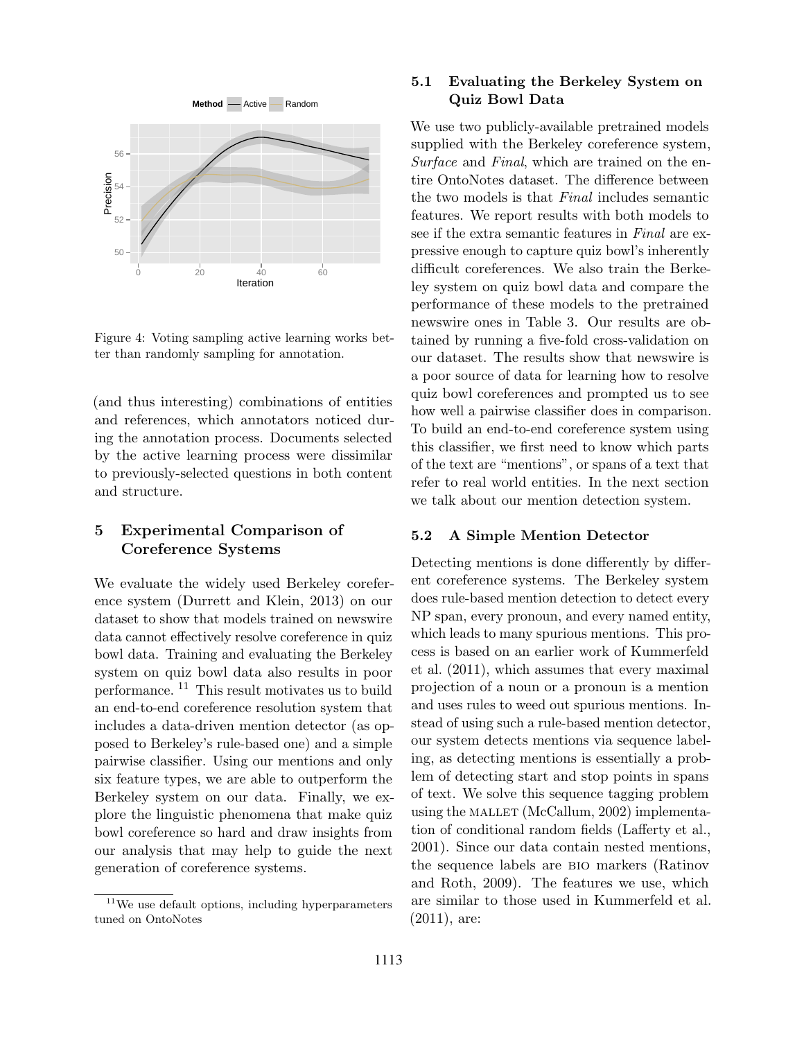

Figure 4: Voting sampling active learning works better than randomly sampling for annotation.

(and thus interesting) combinations of entities and references, which annotators noticed during the annotation process. Documents selected by the active learning process were dissimilar to previously-selected questions in both content and structure.

## 5 Experimental Comparison of Coreference Systems

We evaluate the widely used Berkeley coreference system (Durrett and Klein, 2013) on our dataset to show that models trained on newswire data cannot effectively resolve coreference in quiz bowl data. Training and evaluating the Berkeley system on quiz bowl data also results in poor performance. <sup>11</sup> This result motivates us to build an end-to-end coreference resolution system that includes a data-driven mention detector (as opposed to Berkeley's rule-based one) and a simple pairwise classifier. Using our mentions and only six feature types, we are able to outperform the Berkeley system on our data. Finally, we explore the linguistic phenomena that make quiz bowl coreference so hard and draw insights from our analysis that may help to guide the next generation of coreference systems.

### 5.1 Evaluating the Berkeley System on Quiz Bowl Data

We use two publicly-available pretrained models supplied with the Berkeley coreference system, Surface and Final, which are trained on the entire OntoNotes dataset. The difference between the two models is that Final includes semantic features. We report results with both models to see if the extra semantic features in Final are expressive enough to capture quiz bowl's inherently difficult coreferences. We also train the Berkeley system on quiz bowl data and compare the performance of these models to the pretrained newswire ones in Table 3. Our results are obtained by running a five-fold cross-validation on our dataset. The results show that newswire is a poor source of data for learning how to resolve quiz bowl coreferences and prompted us to see how well a pairwise classifier does in comparison. To build an end-to-end coreference system using this classifier, we first need to know which parts of the text are "mentions", or spans of a text that refer to real world entities. In the next section we talk about our mention detection system.

#### 5.2 A Simple Mention Detector

Detecting mentions is done differently by different coreference systems. The Berkeley system does rule-based mention detection to detect every NP span, every pronoun, and every named entity, which leads to many spurious mentions. This process is based on an earlier work of Kummerfeld et al. (2011), which assumes that every maximal projection of a noun or a pronoun is a mention and uses rules to weed out spurious mentions. Instead of using such a rule-based mention detector, our system detects mentions via sequence labeling, as detecting mentions is essentially a problem of detecting start and stop points in spans of text. We solve this sequence tagging problem using the MALLET (McCallum,  $2002$ ) implementation of conditional random fields (Lafferty et al., 2001). Since our data contain nested mentions, the sequence labels are bio markers (Ratinov and Roth, 2009). The features we use, which are similar to those used in Kummerfeld et al. (2011), are:

<sup>&</sup>lt;sup>11</sup>We use default options, including hyperparameters tuned on OntoNotes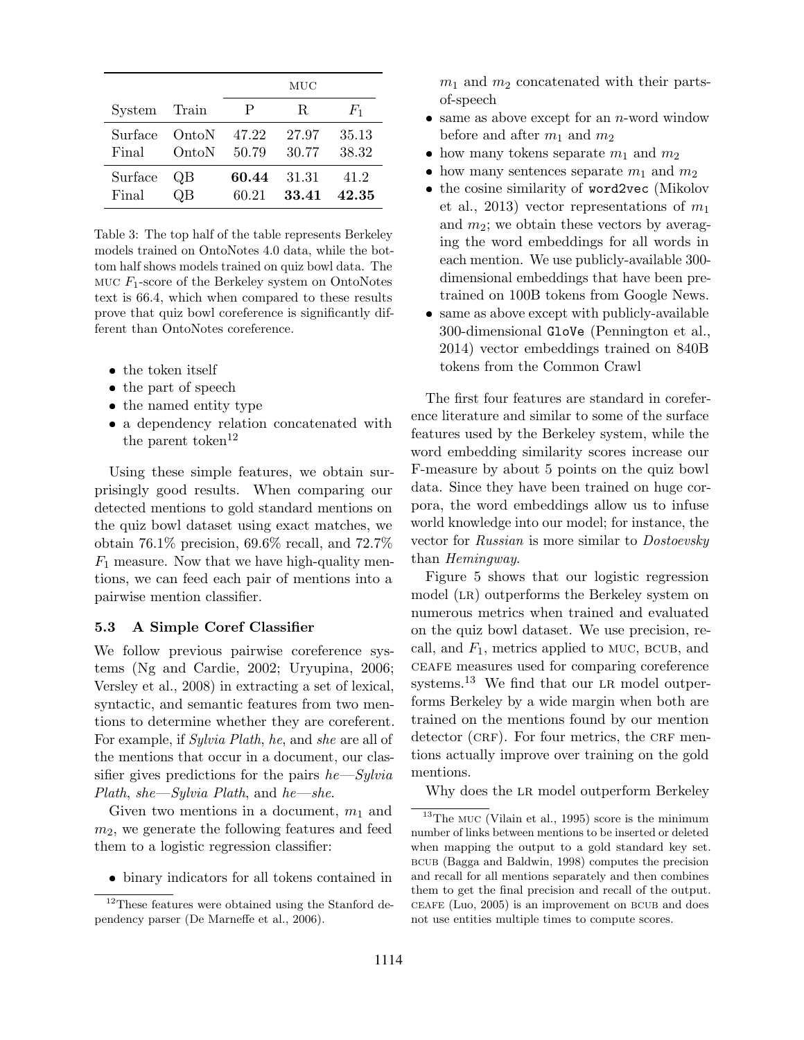|              |         |       | MUC   |       |
|--------------|---------|-------|-------|-------|
| System Train |         | P     | R.    | $F_1$ |
| Surface      | - OntoN | 47.22 | 27.97 | 35.13 |
| Final        | OntoN   | 50.79 | 30.77 | 38.32 |
| Surface      | OΒ      | 60.44 | 31.31 | 41.2  |
| Final        |         | 60.21 | 33.41 | 42.35 |

Table 3: The top half of the table represents Berkeley models trained on OntoNotes 4.0 data, while the bottom half shows models trained on quiz bowl data. The MUC  $F_1$ -score of the Berkeley system on OntoNotes text is 66.4, which when compared to these results prove that quiz bowl coreference is significantly different than OntoNotes coreference.

- $\bullet\,$  the token itself
- the part of speech
- the named entity type
- a dependency relation concatenated with the parent token<sup>12</sup>

Using these simple features, we obtain surprisingly good results. When comparing our detected mentions to gold standard mentions on the quiz bowl dataset using exact matches, we obtain 76.1% precision, 69.6% recall, and 72.7%  $F_1$  measure. Now that we have high-quality mentions, we can feed each pair of mentions into a pairwise mention classifier.

#### 5.3 A Simple Coref Classifier

We follow previous pairwise coreference systems (Ng and Cardie, 2002; Uryupina, 2006; Versley et al., 2008) in extracting a set of lexical, syntactic, and semantic features from two mentions to determine whether they are coreferent. For example, if Sylvia Plath, he, and she are all of the mentions that occur in a document, our classifier gives predictions for the pairs  $he-Sylvia$ Plath, she—Sylvia Plath, and he—she.

Given two mentions in a document,  $m_1$  and  $m<sub>2</sub>$ , we generate the following features and feed them to a logistic regression classifier:

binary indicators for all tokens contained in

 $m_1$  and  $m_2$  concatenated with their partsof-speech

- $\bullet$  same as above except for an *n*-word window before and after  $m_1$  and  $m_2$
- how many tokens separate  $m_1$  and  $m_2$
- how many sentences separate  $m_1$  and  $m_2$
- the cosine similarity of word2vec (Mikolov et al., 2013) vector representations of  $m_1$ and  $m_2$ ; we obtain these vectors by averaging the word embeddings for all words in each mention. We use publicly-available 300 dimensional embeddings that have been pretrained on 100B tokens from Google News.
- same as above except with publicly-available 300-dimensional GloVe (Pennington et al., 2014) vector embeddings trained on 840B tokens from the Common Crawl

The first four features are standard in coreference literature and similar to some of the surface features used by the Berkeley system, while the word embedding similarity scores increase our F-measure by about 5 points on the quiz bowl data. Since they have been trained on huge corpora, the word embeddings allow us to infuse world knowledge into our model; for instance, the vector for Russian is more similar to Dostoevsky than Hemingway.

Figure 5 shows that our logistic regression model (LR) outperforms the Berkeley system on numerous metrics when trained and evaluated on the quiz bowl dataset. We use precision, recall, and  $F_1$ , metrics applied to MUC, BCUB, and ceafe measures used for comparing coreference systems.<sup>13</sup> We find that our LR model outperforms Berkeley by a wide margin when both are trained on the mentions found by our mention  $\alpha$  detector (CRF). For four metrics, the CRF mentions actually improve over training on the gold mentions.

Why does the LR model outperform Berkeley

<sup>&</sup>lt;sup>12</sup>These features were obtained using the Stanford dependency parser (De Marneffe et al., 2006).

 $^{13}{\rm The}$  MUC (Vilain et al., 1995) score is the minimum number of links between mentions to be inserted or deleted when mapping the output to a gold standard key set. bcub (Bagga and Baldwin, 1998) computes the precision and recall for all mentions separately and then combines them to get the final precision and recall of the output.  $CEAFE$  (Luo, 2005) is an improvement on BCUB and does not use entities multiple times to compute scores.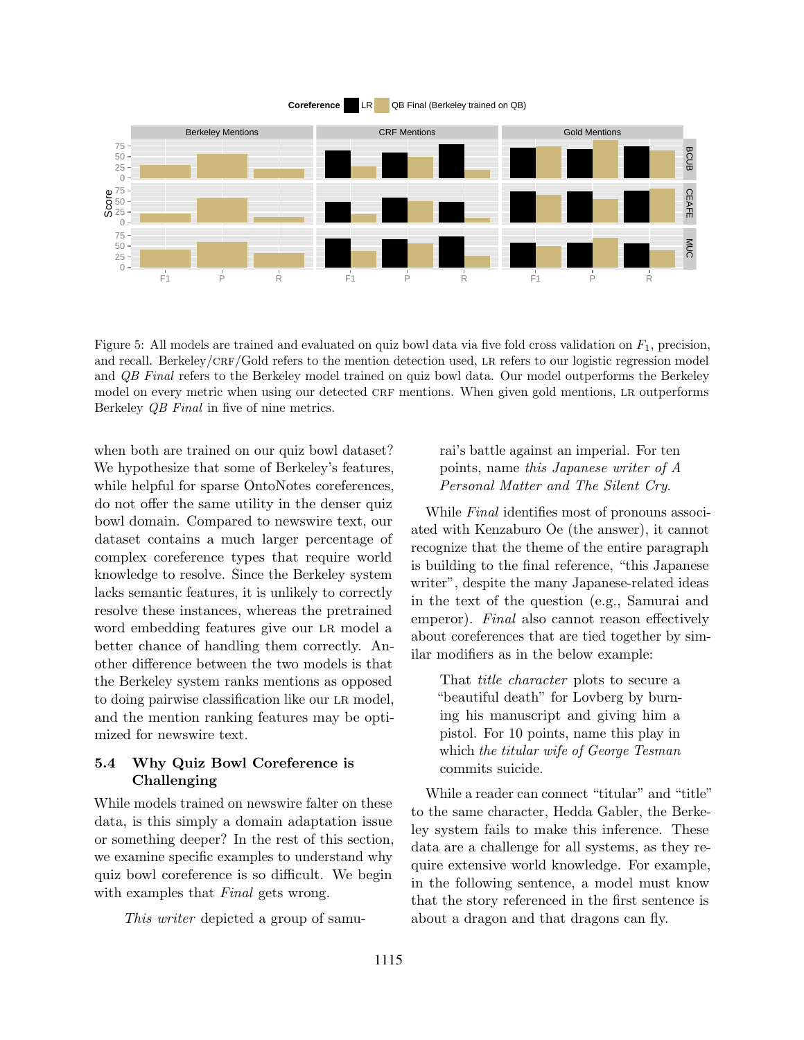

Figure 5: All models are trained and evaluated on quiz bowl data via five fold cross validation on  $F_1$ , precision, and recall. Berkeley/CRF/Gold refers to the mention detection used, LR refers to our logistic regression model and QB Final refers to the Berkeley model trained on quiz bowl data. Our model outperforms the Berkeley model on every metric when using our detected CRF mentions. When given gold mentions, LR outperforms Berkeley QB Final in five of nine metrics.

when both are trained on our quiz bowl dataset? We hypothesize that some of Berkeley's features, while helpful for sparse OntoNotes coreferences, do not offer the same utility in the denser quiz bowl domain. Compared to newswire text, our dataset contains a much larger percentage of complex coreference types that require world knowledge to resolve. Since the Berkeley system lacks semantic features, it is unlikely to correctly resolve these instances, whereas the pretrained word embedding features give our lr model a better chance of handling them correctly. Another difference between the two models is that the Berkeley system ranks mentions as opposed to doing pairwise classification like our lr model, and the mention ranking features may be optimized for newswire text.

### 5.4 Why Quiz Bowl Coreference is Challenging

While models trained on newswire falter on these data, is this simply a domain adaptation issue or something deeper? In the rest of this section, we examine specific examples to understand why quiz bowl coreference is so difficult. We begin with examples that *Final* gets wrong.

This writer depicted a group of samu-

rai's battle against an imperial. For ten points, name this Japanese writer of A Personal Matter and The Silent Cry.

While *Final* identifies most of pronouns associated with Kenzaburo Oe (the answer), it cannot recognize that the theme of the entire paragraph is building to the final reference, "this Japanese writer", despite the many Japanese-related ideas in the text of the question (e.g., Samurai and emperor). Final also cannot reason effectively about coreferences that are tied together by similar modifiers as in the below example:

That title character plots to secure a "beautiful death" for Lovberg by burning his manuscript and giving him a pistol. For 10 points, name this play in which the titular wife of George Tesman commits suicide.

While a reader can connect "titular" and "title" to the same character, Hedda Gabler, the Berkeley system fails to make this inference. These data are a challenge for all systems, as they require extensive world knowledge. For example, in the following sentence, a model must know that the story referenced in the first sentence is about a dragon and that dragons can fly.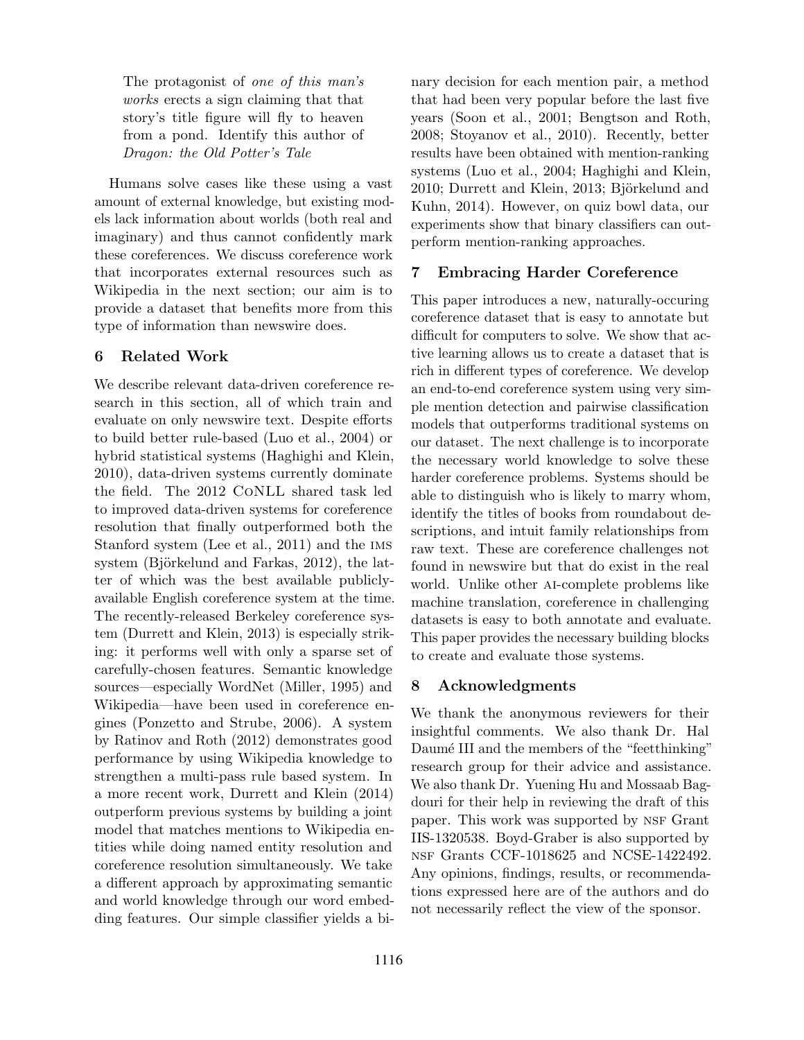The protagonist of one of this man's works erects a sign claiming that that story's title figure will fly to heaven from a pond. Identify this author of Dragon: the Old Potter's Tale

Humans solve cases like these using a vast amount of external knowledge, but existing models lack information about worlds (both real and imaginary) and thus cannot confidently mark these coreferences. We discuss coreference work that incorporates external resources such as Wikipedia in the next section; our aim is to provide a dataset that benefits more from this type of information than newswire does.

### 6 Related Work

We describe relevant data-driven coreference research in this section, all of which train and evaluate on only newswire text. Despite efforts to build better rule-based (Luo et al., 2004) or hybrid statistical systems (Haghighi and Klein, 2010), data-driven systems currently dominate the field. The 2012 CoNLL shared task led to improved data-driven systems for coreference resolution that finally outperformed both the Stanford system (Lee et al., 2011) and the ims system (Björkelund and Farkas,  $2012$ ), the latter of which was the best available publiclyavailable English coreference system at the time. The recently-released Berkeley coreference system (Durrett and Klein, 2013) is especially striking: it performs well with only a sparse set of carefully-chosen features. Semantic knowledge sources—especially WordNet (Miller, 1995) and Wikipedia—have been used in coreference engines (Ponzetto and Strube, 2006). A system by Ratinov and Roth (2012) demonstrates good performance by using Wikipedia knowledge to strengthen a multi-pass rule based system. In a more recent work, Durrett and Klein (2014) outperform previous systems by building a joint model that matches mentions to Wikipedia entities while doing named entity resolution and coreference resolution simultaneously. We take a different approach by approximating semantic and world knowledge through our word embedding features. Our simple classifier yields a binary decision for each mention pair, a method that had been very popular before the last five years (Soon et al., 2001; Bengtson and Roth, 2008; Stoyanov et al., 2010). Recently, better results have been obtained with mention-ranking systems (Luo et al., 2004; Haghighi and Klein, 2010; Durrett and Klein, 2013; Björkelund and Kuhn, 2014). However, on quiz bowl data, our experiments show that binary classifiers can outperform mention-ranking approaches.

# 7 Embracing Harder Coreference

This paper introduces a new, naturally-occuring coreference dataset that is easy to annotate but difficult for computers to solve. We show that active learning allows us to create a dataset that is rich in different types of coreference. We develop an end-to-end coreference system using very simple mention detection and pairwise classification models that outperforms traditional systems on our dataset. The next challenge is to incorporate the necessary world knowledge to solve these harder coreference problems. Systems should be able to distinguish who is likely to marry whom, identify the titles of books from roundabout descriptions, and intuit family relationships from raw text. These are coreference challenges not found in newswire but that do exist in the real world. Unlike other ai-complete problems like machine translation, coreference in challenging datasets is easy to both annotate and evaluate. This paper provides the necessary building blocks to create and evaluate those systems.

# 8 Acknowledgments

We thank the anonymous reviewers for their insightful comments. We also thank Dr. Hal Daumé III and the members of the "feetthinking" research group for their advice and assistance. We also thank Dr. Yuening Hu and Mossaab Bagdouri for their help in reviewing the draft of this paper. This work was supported by NSF Grant IIS-1320538. Boyd-Graber is also supported by nsf Grants CCF-1018625 and NCSE-1422492. Any opinions, findings, results, or recommendations expressed here are of the authors and do not necessarily reflect the view of the sponsor.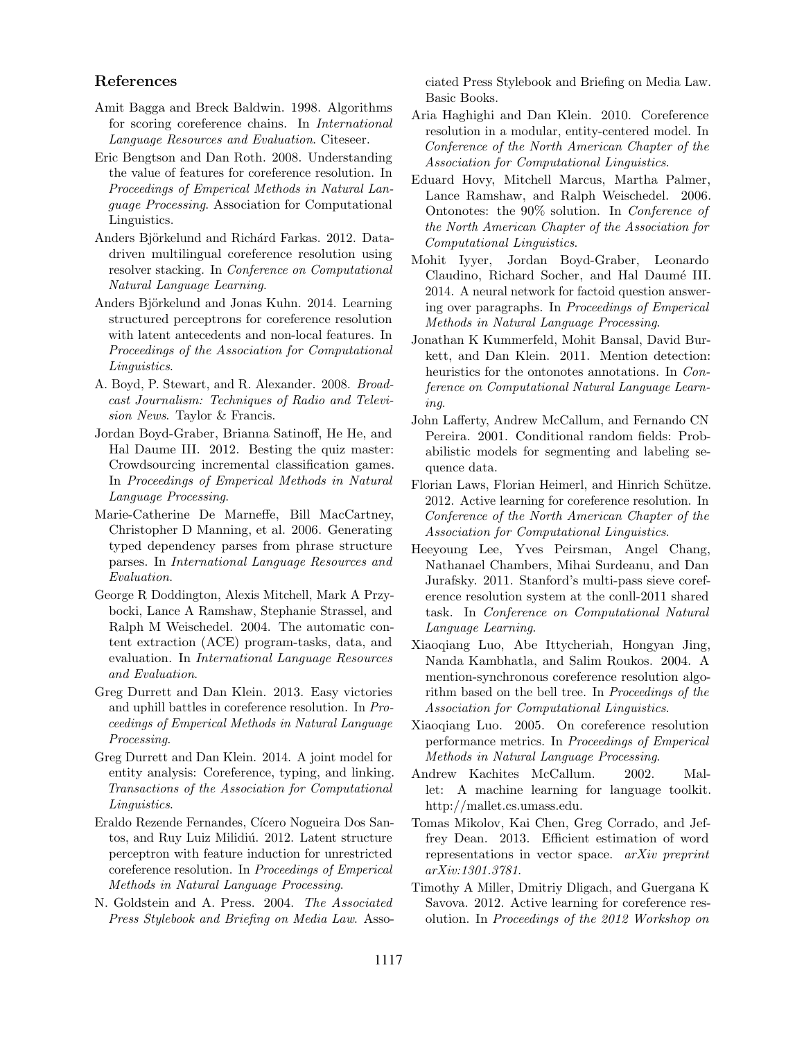#### References

- Amit Bagga and Breck Baldwin. 1998. Algorithms for scoring coreference chains. In International Language Resources and Evaluation. Citeseer.
- Eric Bengtson and Dan Roth. 2008. Understanding the value of features for coreference resolution. In Proceedings of Emperical Methods in Natural Language Processing. Association for Computational Linguistics.
- Anders Björkelund and Richárd Farkas. 2012. Datadriven multilingual coreference resolution using resolver stacking. In Conference on Computational Natural Language Learning.
- Anders Björkelund and Jonas Kuhn. 2014. Learning structured perceptrons for coreference resolution with latent antecedents and non-local features. In Proceedings of the Association for Computational Linguistics.
- A. Boyd, P. Stewart, and R. Alexander. 2008. Broadcast Journalism: Techniques of Radio and Television News. Taylor & Francis.
- Jordan Boyd-Graber, Brianna Satinoff, He He, and Hal Daume III. 2012. Besting the quiz master: Crowdsourcing incremental classification games. In Proceedings of Emperical Methods in Natural Language Processing.
- Marie-Catherine De Marneffe, Bill MacCartney, Christopher D Manning, et al. 2006. Generating typed dependency parses from phrase structure parses. In International Language Resources and Evaluation.
- George R Doddington, Alexis Mitchell, Mark A Przybocki, Lance A Ramshaw, Stephanie Strassel, and Ralph M Weischedel. 2004. The automatic content extraction (ACE) program-tasks, data, and evaluation. In International Language Resources and Evaluation.
- Greg Durrett and Dan Klein. 2013. Easy victories and uphill battles in coreference resolution. In Proceedings of Emperical Methods in Natural Language Processing.
- Greg Durrett and Dan Klein. 2014. A joint model for entity analysis: Coreference, typing, and linking. Transactions of the Association for Computational Linguistics.
- Eraldo Rezende Fernandes, Cícero Nogueira Dos Santos, and Ruy Luiz Milidiú. 2012. Latent structure perceptron with feature induction for unrestricted coreference resolution. In Proceedings of Emperical Methods in Natural Language Processing.
- N. Goldstein and A. Press. 2004. The Associated Press Stylebook and Briefing on Media Law. Asso-

ciated Press Stylebook and Briefing on Media Law. Basic Books.

- Aria Haghighi and Dan Klein. 2010. Coreference resolution in a modular, entity-centered model. In Conference of the North American Chapter of the Association for Computational Linguistics.
- Eduard Hovy, Mitchell Marcus, Martha Palmer, Lance Ramshaw, and Ralph Weischedel. 2006. Ontonotes: the 90% solution. In Conference of the North American Chapter of the Association for Computational Linguistics.
- Mohit Iyyer, Jordan Boyd-Graber, Leonardo Claudino, Richard Socher, and Hal Daumé III. 2014. A neural network for factoid question answering over paragraphs. In Proceedings of Emperical Methods in Natural Language Processing.
- Jonathan K Kummerfeld, Mohit Bansal, David Burkett, and Dan Klein. 2011. Mention detection: heuristics for the ontonotes annotations. In Conference on Computational Natural Language Learning.
- John Lafferty, Andrew McCallum, and Fernando CN Pereira. 2001. Conditional random fields: Probabilistic models for segmenting and labeling sequence data.
- Florian Laws, Florian Heimerl, and Hinrich Schütze. 2012. Active learning for coreference resolution. In Conference of the North American Chapter of the Association for Computational Linguistics.
- Heeyoung Lee, Yves Peirsman, Angel Chang, Nathanael Chambers, Mihai Surdeanu, and Dan Jurafsky. 2011. Stanford's multi-pass sieve coreference resolution system at the conll-2011 shared task. In Conference on Computational Natural Language Learning.
- Xiaoqiang Luo, Abe Ittycheriah, Hongyan Jing, Nanda Kambhatla, and Salim Roukos. 2004. A mention-synchronous coreference resolution algorithm based on the bell tree. In Proceedings of the Association for Computational Linguistics.
- Xiaoqiang Luo. 2005. On coreference resolution performance metrics. In Proceedings of Emperical Methods in Natural Language Processing.
- Andrew Kachites McCallum. 2002. Mallet: A machine learning for language toolkit. http://mallet.cs.umass.edu.
- Tomas Mikolov, Kai Chen, Greg Corrado, and Jeffrey Dean. 2013. Efficient estimation of word representations in vector space. arXiv preprint arXiv:1301.3781.
- Timothy A Miller, Dmitriy Dligach, and Guergana K Savova. 2012. Active learning for coreference resolution. In Proceedings of the 2012 Workshop on